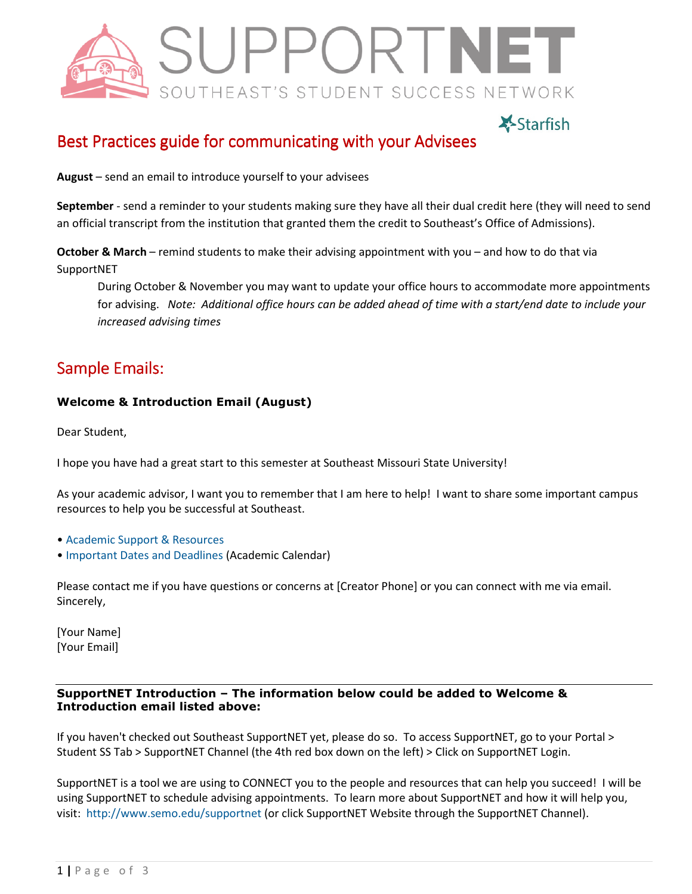

# **X-Starfish**

# Best Practices guide for communicating with your Advisees

**August** – send an email to introduce yourself to your advisees

**September** - send a reminder to your students making sure they have all their dual credit here (they will need to send an official transcript from the institution that granted them the credit to Southeast's Office of Admissions).

**October & March** – remind students to make their advising appointment with you – and how to do that via SupportNET

During October & November you may want to update your office hours to accommodate more appointments for advising. *Note: Additional office hours can be added ahead of time with a start/end date to include your increased advising times*

## Sample Emails:

#### **Welcome & Introduction Email (August)**

Dear Student,

I hope you have had a great start to this semester at Southeast Missouri State University!

As your academic advisor, I want you to remember that I am here to help! I want to share some important campus resources to help you be successful at Southeast.

- Academic Support & Resources
- Important Dates and Deadlines (Academic Calendar)

Please contact me if you have questions or concerns at [Creator Phone] or you can connect with me via email. Sincerely,

[Your Name] [Your Email]

#### **SupportNET Introduction – The information below could be added to Welcome & Introduction email listed above:**

If you haven't checked out Southeast SupportNET yet, please do so. To access SupportNET, go to your Portal > Student SS Tab > SupportNET Channel (the 4th red box down on the left) > Click on SupportNET Login.

SupportNET is a tool we are using to CONNECT you to the people and resources that can help you succeed! I will be using SupportNET to schedule advising appointments. To learn more about SupportNET and how it will help you, visit: http://www.semo.edu/supportnet (or click SupportNET Website through the SupportNET Channel).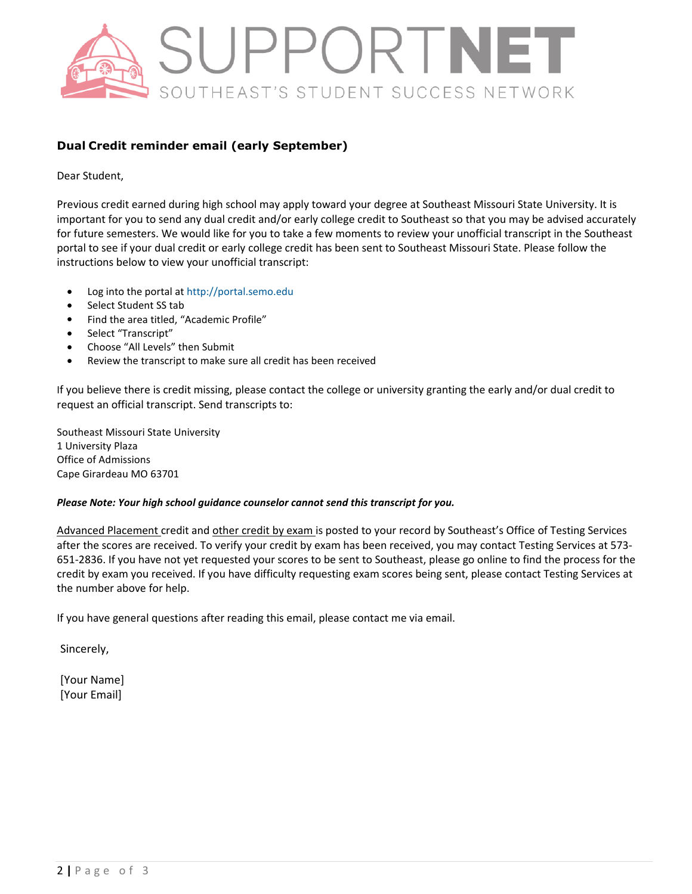

#### **Dual Credit reminder email (early September)**

Dear Student,

Previous credit earned during high school may apply toward your degree at Southeast Missouri State University. It is important for you to send any dual credit and/or early college credit to Southeast so that you may be advised accurately for future semesters. We would like for you to take a few moments to review your unofficial transcript in the Southeast portal to see if your dual credit or early college credit has been sent to Southeast Missouri State. Please follow the instructions below to view your unofficial transcript:

- Log into the portal at http://portal.semo.edu
- Select Student SS tab
- Find the area titled, "Academic Profile"
- Select "Transcript"
- Choose "All Levels" then Submit
- Review the transcript to make sure all credit has been received

If you believe there is credit missing, please contact the college or university granting the early and/or dual credit to request an official transcript. Send transcripts to:

Southeast Missouri State University 1 University Plaza Office of Admissions Cape Girardeau MO 63701

#### *Please Note: Your high school guidance counselor cannot send this transcript for you.*

Advanced Placement credit and other credit by exam is posted to your record by Southeast's Office of Testing Services after the scores are received. To verify your credit by exam has been received, you may contact Testing Services at 573- 651-2836. If you have not yet requested your scores to be sent to Southeast, please go online to find the process for the credit by exam you received. If you have difficulty requesting exam scores being sent, please contact Testing Services at the number above for help.

If you have general questions after reading this email, please contact me via email.

Sincerely,

[Your Name] [Your Email]